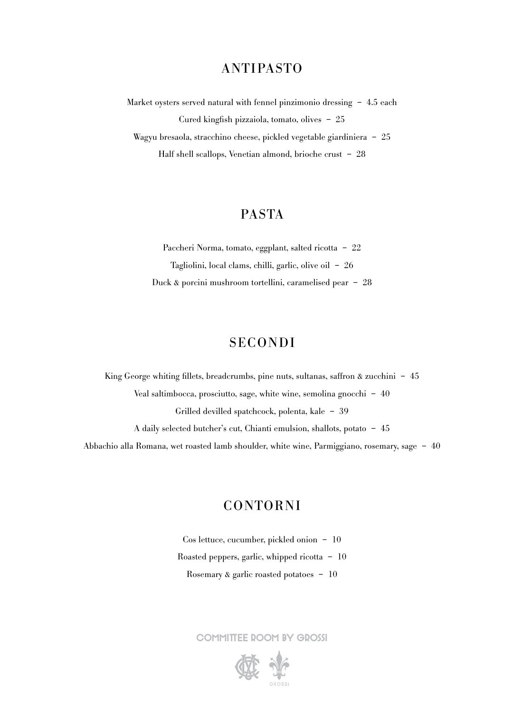## ANTIPASTO

Market oysters served natural with fennel pinzimonio dressing – 4.5 each Cured kingfish pizzaiola, tomato, olives – 25 Wagyu bresaola, stracchino cheese, pickled vegetable giardiniera – 25 Half shell scallops, Venetian almond, brioche crust – 28

# PASTA

Paccheri Norma, tomato, eggplant, salted ricotta – 22 Tagliolini, local clams, chilli, garlic, olive oil – 26 Duck & porcini mushroom tortellini, caramelised pear – 28

# SECONDI

King George whiting fillets, breadcrumbs, pine nuts, sultanas, saffron & zucchini - 45 Veal saltimbocca, prosciutto, sage, white wine, semolina gnocchi – 40 Grilled devilled spatchcock, polenta, kale – 39 A daily selected butcher's cut, Chianti emulsion, shallots, potato – 45 Abbachio alla Romana, wet roasted lamb shoulder, white wine, Parmiggiano, rosemary, sage – 40

## CONTORNI

Cos lettuce, cucumber, pickled onion – 10 Roasted peppers, garlic, whipped ricotta – 10 Rosemary & garlic roasted potatoes – 10

COMMITTEE ROOM BY GROSSI



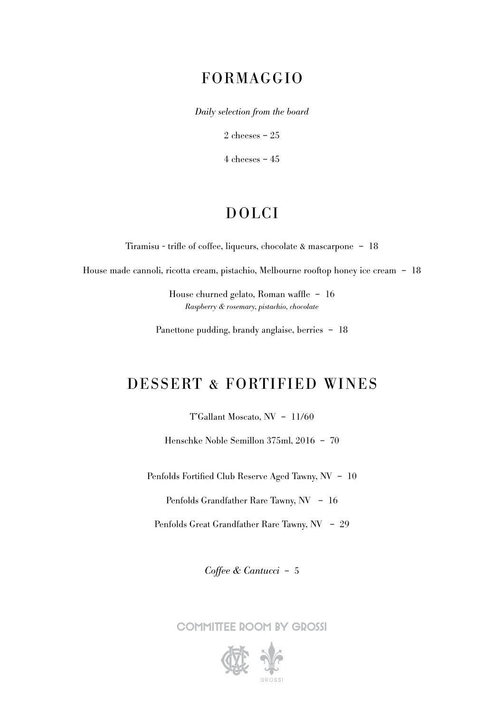## FORMAGGIO

*Daily selection from the board*

2 cheeses – 25

 $4$  cheeses  $-45$ 

# DOLCI

Tiramisu - trifle of coffee, liqueurs, chocolate & mascarpone – 18

House made cannoli, ricotta cream, pistachio, Melbourne rooftop honey ice cream – 18

House churned gelato, Roman waffle – 16 *Raspberry & rosemary, pistachio, chocolate*

Panettone pudding, brandy anglaise, berries – 18

## DESSERT & FORTIFIED WINES

T'Gallant Moscato, NV – 11/60

Henschke Noble Semillon 375ml, 2016 – 70

Penfolds Fortified Club Reserve Aged Tawny, NV – 10

Penfolds Grandfather Rare Tawny, NV – 16

Penfolds Great Grandfather Rare Tawny, NV – 29

*Coffee & Cantucci* – 5

COMMITTEE DOOM BY GDOSSI

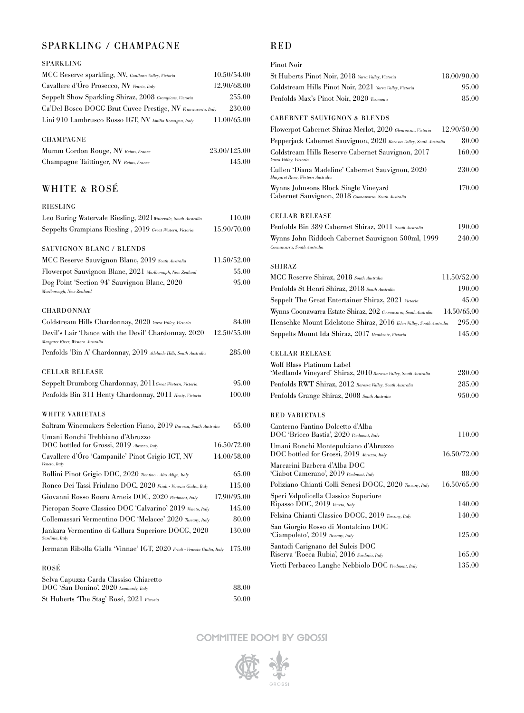## SPARKLING / CHAMPAGNE

### SPARKLING

| MCC Reserve sparkling, NV, Goulburn Valley, Victoria          | 10.50/54.00 |
|---------------------------------------------------------------|-------------|
| Cavallere d'Óro Prosecco, NV Veneto, Italy                    | 12.90/68.00 |
| Seppelt Show Sparkling Shiraz, 2008 Grampians, Victoria       | 255.00      |
| Ca'Del Bosco DOCG Brut Cuvee Prestige, NV Franciacorta, Italy | 230.00      |
| Lini 910 Lambrusco Rosso IGT, NV Emilia Romagna, Italy        | 11.00/65.00 |

### CHAMPAGNE

| Mumm Cordon Rouge, NV Reims, France    | 23.00/125.00 |
|----------------------------------------|--------------|
| Champagne Taittinger, NV Reims, France | 145.00       |

## WHITE & ROSÉ

### RIESLING

| Leo Buring Watervale Riesling, 2021 Watervale, South Australia                            | 110.00      |
|-------------------------------------------------------------------------------------------|-------------|
| Seppelts Grampians Riesling, 2019 Great Western, Victoria                                 | 15.90/70.00 |
| <b>SAUVIGNON BLANC / BLENDS</b>                                                           |             |
| MCC Reserve Sauvignon Blanc, 2019 South Australia                                         | 11.50/52.00 |
| Flowerpot Sauvignon Blanc, 2021 Marlborough, New Zealand                                  | 55.00       |
| Dog Point 'Section 94' Sauvignon Blanc, 2020<br>Marlborough, New Zealand                  | 95.00       |
| <b>CHARDONNAY</b>                                                                         |             |
| Coldstream Hills Chardonnay, 2020 Yarra Valley, Victoria                                  | 84.00       |
| Devil's Lair 'Dance with the Devil' Chardonnay, 2020<br>Margaret River, Western Australia | 12.50/55.00 |
| Penfolds 'Bin A' Chardonnay, 2019 Adelaide Hills, South Australia                         | 285.00      |
| <b>CELLAR RELEASE</b>                                                                     |             |
| Seppelt Drumborg Chardonnay, 2011Great Western, Victoria                                  | 95.00       |
| Penfolds Bin 311 Henty Chardonnay, 2011 Henty, Victoria                                   | 100.00      |
| <b>WHITE VARIETALS</b>                                                                    |             |
| Saltram Winemakers Selection Fiano, 2019 Barossa, South Australia                         | 65.00       |
| Umani Ronchi Trebbiano d'Abruzzo<br>DOC bottled for Grossi, 2019 Abruzzo, Italy           | 16.50/72.00 |
| Cavallere d'Oro 'Campanile' Pinot Grigio IGT, NV<br>Veneto, Italy                         | 14.00/58.00 |
| Bollini Pinot Grigio DOC, 2020 Trentino - Alto Adige, Italy                               | 65.00       |
| Ronco Dei Tassi Friulano DOC, 2020 Friuli - Venezia Giulia, Italy                         | 115.00      |
| Giovanni Rosso Roero Arneis DOC, 2020 Piedmont, Italy                                     | 17.90/95.00 |
| Pieropan Soave Classico DOC 'Calvarino' 2019 Veneto, Italy                                | 145.00      |
| Collemassari Vermentino DOC 'Melacce' 2020 Tuscany, Italy                                 | 80.00       |
| Jankara Vermentino di Gallura Superiore DOCG, 2020<br>Sardinia, Italy                     | 130.00      |
| Jermann Ribolla Gialla 'Vinnae' IGT, 2020 Friuli - Venezia Giulia, Italy                  | 175.00      |
| ROSÉ                                                                                      |             |
| Selva Capuzza Garda Classiso Chiaretto<br>DOC 'San Donino', 2020 Lombardy, Italy          | 88.00       |
| St Huberts 'The Stag' Rosé, 2021 Victoria                                                 | 50.00       |

## RED

| Pinot Noir                                                                                    |             |
|-----------------------------------------------------------------------------------------------|-------------|
| St Huberts Pinot Noir, 2018 Yarra Valley, Victoria                                            | 18.00/90.00 |
| Coldstream Hills Pinot Noir, 2021 Yarra Valley, Victoria                                      | 95.00       |
| Penfolds Max's Pinot Noir, 2020 Tasmania                                                      | 85.00       |
| <b>CABERNET SAUVIGNON &amp; BLENDS</b>                                                        |             |
| Flowerpot Cabernet Shiraz Merlot, 2020 Glenrowan, Victoria                                    | 12.90/50.00 |
| Pepperjack Cabernet Sauvignon, 2020 Barossa Valley, South Australia                           | 80.00       |
| Coldstream Hills Reserve Cabernet Sauvignon, 2017<br>Yarra Valley, Victoria                   | 160.00      |
| Cullen 'Diana Madeline' Cabernet Sauvignon, 2020<br>Margaret River, Western Australia         | 230.00      |
| Wynns Johnsons Block Single Vineyard<br>Cabernet Sauvignon, 2018 Coonawarra, South Australia  | 170.00      |
| <b>CELLAR RELEASE</b>                                                                         |             |
| Penfolds Bin 389 Cabernet Shiraz, 2011 South Australia                                        | 190.00      |
| Wynns John Riddoch Cabernet Sauvignon 500ml, 1999<br>Coonawarra, South Australia              | 240.00      |
| SHIRAZ                                                                                        |             |
| MCC Reserve Shiraz, 2018 South Australia                                                      | 11.50/52.00 |
| Penfolds St Henri Shiraz, 2018 South Australia                                                | 190.00      |
| Seppelt The Great Entertainer Shiraz, 2021 Victoria                                           | 45.00       |
| Wynns Coonawarra Estate Shiraz, 202 Coonawarra, South Australia                               | 14.50/65.00 |
| Henschke Mount Edelstone Shiraz, 2016 Eden Valley, South Australia                            | 295.00      |
| Seppelts Mount Ida Shiraz, 2017 Heathcote, Victoria                                           | 145.00      |
| <b>CELLAR RELEASE</b>                                                                         |             |
| Wolf Blass Platinum Label<br>'Medlands Vineyard' Shiraz, 2010 Barossa Valley, South Australia | 280.00      |
| Penfolds RWT Shiraz, 2012 Barossa Valley, South Australia                                     | 285.00      |
| Penfolds Grange Shiraz, 2008 South Australia                                                  | 950.00      |
| <b>RED VARIETALS</b>                                                                          |             |
| Canterno Fantino Dolcetto d'Alba<br>DOC 'Bricco Bastia', 2020 Piedmont, Italy                 | 110.00      |
| Umani Ronchi Montepulciano d'Abruzzo<br>DOC bottled for Grossi, 2019 Abruzzo, Italy           | 16.50/72.00 |
| Marcarini Barbera d'Alba DOC<br>'Ciabot Camerano', 2019 Piedmont, Italy                       | 88.00       |
| Poliziano Chianti Colli Senesi DOCG, 2020 Tuscany, Italy                                      | 16.50/65.00 |
| Speri Valpolicella Classico Superiore<br>Ripasso DOC, 2019 Veneto, Italy                      | 140.00      |
| Felsina Chianti Classico DOCG, 2019 Tuscany, Italy                                            | 140.00      |
| San Giorgio Rosso di Montalcino DOC                                                           |             |
| 'Ciampoleto', 2019 Tuscany, Italy                                                             | 125.00      |
| Santadi Carignano del Sulcis DOC<br>Riserva 'Rocca Rubia', 2016 Sardinia, Italy               | 165.00      |
| Vietti Perbacco Langhe Nebbiolo DOC Piedmont, Italy                                           | 135.00      |
|                                                                                               |             |

COMMITTEE ROOM BY GROSSI